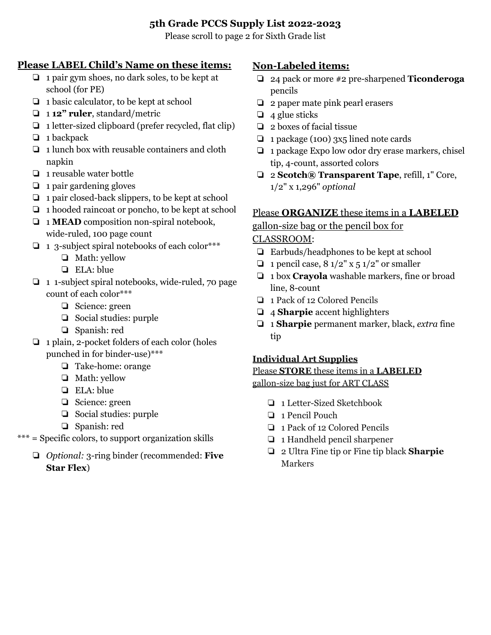## **5th Grade PCCS Supply List 2022-2023**

Please scroll to page 2 for Sixth Grade list

### **Please LABEL Child's Name on these items:**

- ❏ 1 pair gym shoes, no dark soles, to be kept at school (for PE)
- ❏ 1 basic calculator, to be kept at school
- ❏ 1 **12" ruler**, standard/metric
- ❏ 1 letter-sized clipboard (prefer recycled, flat clip)
- ❏ 1 backpack
- ❏ 1 lunch box with reusable containers and cloth napkin
- ❏ 1 reusable water bottle
- ❏ 1 pair gardening gloves
- ❏ 1 pair closed-back slippers, to be kept at school
- ❏ 1 hooded raincoat or poncho, to be kept at school
- ❏ 1 **MEAD** composition non-spiral notebook, wide-ruled, 100 page count
- ❏ 1 3-subject spiral notebooks of each color\*\*\*
	- ❏ Math: yellow
	- ❏ ELA: blue
- ❏ 1 1-subject spiral notebooks, wide-ruled, 70 page count of each color\*\*\*
	- ❏ Science: green
	- ❏ Social studies: purple
	- ❏ Spanish: red
- ❏ 1 plain, 2-pocket folders of each color (holes punched in for binder-use)\*\*\*
	- ❏ Take-home: orange
	- ❏ Math: yellow
	- ❏ ELA: blue
	- ❏ Science: green
	- ❏ Social studies: purple
	- ❏ Spanish: red
- \*\*\* = Specific colors, to support organization skills
	- ❏ *Optional:* 3-ring binder (recommended: **Five Star Flex**)

# **Non-Labeled items:**

- ❏ 24 pack or more #2 pre-sharpened **Ticonderoga** pencils
- ❏ 2 paper mate pink pearl erasers
- $\Box$  4 glue sticks
- ❏ 2 boxes of facial tissue
- ❏ 1 package (100) 3x5 lined note cards
- ❏ 1 package Expo low odor dry erase markers, chisel tip, 4-count, assorted colors
- ❏ 2 **Scotch® Transparent Tape**, refill, 1" Core, 1/2" x 1,296" *optional*

## Please **ORGANIZE** these items in a **LABELED**

gallon-size bag or the pencil box for

### CLASSROOM:

- ❏ Earbuds/headphones to be kept at school
- $\Box$  1 pencil case,  $8 \frac{1}{2}$ " x 5  $\frac{1}{2}$ " or smaller
- ❏ 1 box **Crayola** washable markers, fine or broad line, 8-count
- ❏ 1 Pack of 12 Colored Pencils
- ❏ 4 **Sharpie** accent highlighters
- ❏ 1 **Sharpie** permanent marker, black, *extra* fine tip

## **Individual Art Supplies**

# Please **STORE** these items in a **LABELED**

gallon-size bag just for ART CLASS

- ❏ 1 Letter-Sized Sketchbook
- ❏ 1 Pencil Pouch
- ❏ 1 Pack of 12 Colored Pencils
- ❏ 1 Handheld pencil sharpener
- ❏ 2 Ultra Fine tip or Fine tip black **Sharpie** Markers